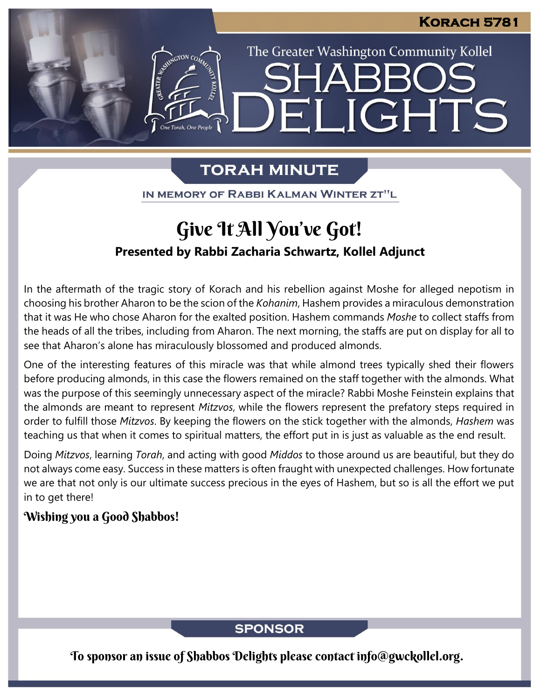The Greater Washington Community Kollel

LIGHTS

# **TORAH MINUTE**

EI

IN MEMORY OF RABBI KALMAN WINTER ZT"L

# Give It All You've Got!

### **Presented by Rabbi Zacharia Schwartz, Kollel Adjunct**

In the aftermath of the tragic story of Korach and his rebellion against Moshe for alleged nepotism in choosing his brother Aharon to be the scion of the *Kohanim*, Hashem provides a miraculous demonstration that it was He who chose Aharon for the exalted position. Hashem commands *Moshe* to collect staffs from the heads of all the tribes, including from Aharon. The next morning, the staffs are put on display for all to see that Aharon's alone has miraculously blossomed and produced almonds.

One of the interesting features of this miracle was that while almond trees typically shed their flowers before producing almonds, in this case the flowers remained on the staff together with the almonds. What was the purpose of this seemingly unnecessary aspect of the miracle? Rabbi Moshe Feinstein explains that the almonds are meant to represent *Mitzvos*, while the flowers represent the prefatory steps required in order to fulfill those *Mitzvos*. By keeping the flowers on the stick together with the almonds, *Hashem* was teaching us that when it comes to spiritual matters, the effort put in is just as valuable as the end result.

Doing *Mitzvos*, learning *Torah*, and acting with good *Middos* to those around us are beautiful, but they do not always come easy. Success in these matters is often fraught with unexpected challenges. How fortunate we are that not only is our ultimate success precious in the eyes of Hashem, but so is all the effort we put in to get there!

### Wishing you a Good Shabbos!

### **SPONSOR**

To sponsor an issue of Shabbos Delights please contact info@gwckollel.org.